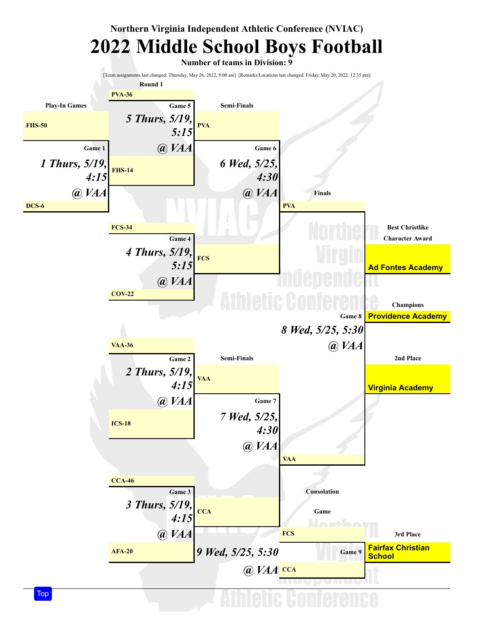